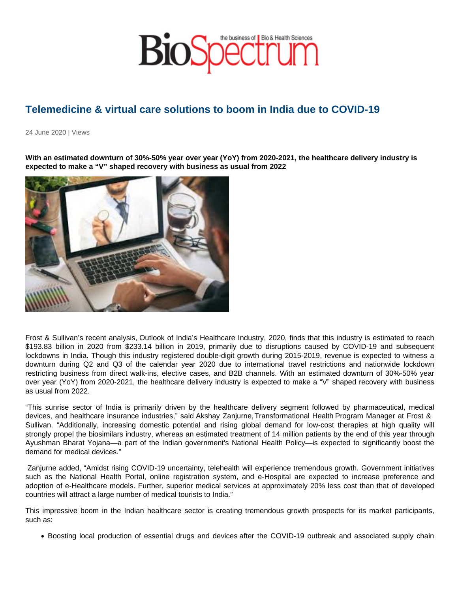## Telemedicine & virtual care solutions to boom in India due to COVID-19

24 June 2020 | Views

With an estimated downturn of 30%-50% year over year (YoY) from 2020-2021, the healthcare delivery industry is expected to make a "V" shaped recovery with business as usual from 2022

Frost & Sullivan's recent analysis, Outlook of India's Healthcare Industry, 2020, finds that this industry is estimated to reach \$193.83 billion in 2020 from \$233.14 billion in 2019, primarily due to disruptions caused by COVID-19 and subsequent lockdowns in India. Though this industry registered double-digit growth during 2015-2019, revenue is expected to witness a downturn during Q2 and Q3 of the calendar year 2020 due to international travel restrictions and nationwide lockdown restricting business from direct walk-ins, elective cases, and B2B channels. With an estimated downturn of 30%-50% year over year (YoY) from 2020-2021, the healthcare delivery industry is expected to make a "V" shaped recovery with business as usual from 2022.

"This sunrise sector of India is primarily driven by the healthcare delivery segment followed by pharmaceutical, medical devices, and healthcare insurance industries," said Akshay Zanjurne, Transformational Health Program Manager at Frost & Sullivan. "Additionally, increasing domestic potential and rising global demand for low-cost therapies at high quality will strongly propel the biosimilars industry, whereas an estimated treatment of 14 million patients by the end of this year through Ayushman Bharat Yojana—a part of the Indian government's National Health Policy—is expected to significantly boost the demand for medical devices."

 Zanjurne added, "Amidst rising COVID-19 uncertainty, telehealth will experience tremendous growth. Government initiatives such as the National Health Portal, online registration system, and e-Hospital are expected to increase preference and adoption of e-Healthcare models. Further, superior medical services at approximately 20% less cost than that of developed countries will attract a large number of medical tourists to India."

This impressive boom in the Indian healthcare sector is creating tremendous growth prospects for its market participants, such as:

Boosting local production of essential drugs and devices after the COVID-19 outbreak and associated supply chain